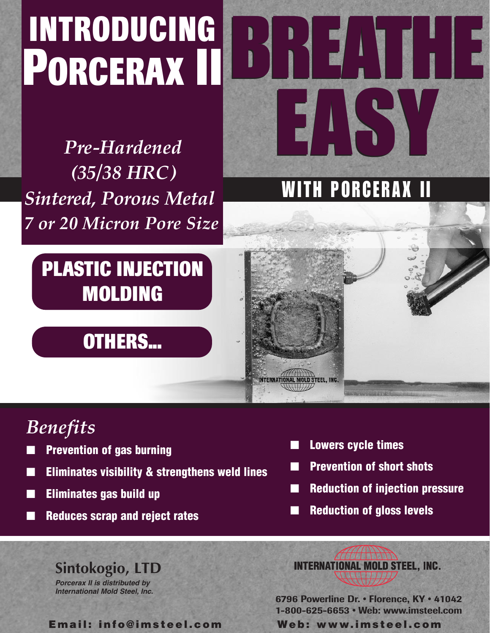# **INTRODUCING PORCERAX II**

*Pre-Hardened (35/38 HRC) Sintered, Porous Metal 7 or 20 Micron Pore Size*

## **PLASTIC INJECTION MOLDING**

### **OTHERS...**

## *Benefits*

- **Prevention of gas burning**
- **Eliminates visibility & strengthens weld lines**
- **Eliminates gas build up**
- **Reduces scrap and reject rates**

■ **Lowers cycle times**

**INTERNATIONAL MOLD STEEL. INC.** 

WITH PORCERAX II

EASY

EASY

BREATHE

BREATHE

- **Prevention of short shots**
- **Reduction of injection pressure**
- **Reduction of gloss levels**

### **Sintokogio, LTD**

*Porcerax II is distributed by International Mold Steel, Inc.*

**Email: info@imsteel.com Web: www.imsteel.com**

**INTERNATIONAL MOLD STEEL, INC.** 

**6796 Powerline Dr. • Florence, KY • 41042 1-800-625-6653 • Web: www.imsteel.com**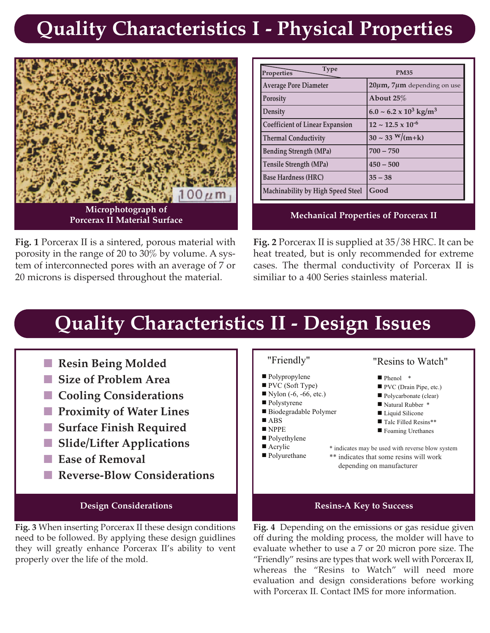### **Quality Characteristics I - Physical Properties**



**Fig. 1** Porcerax II is a sintered, porous material with porosity in the range of 20 to  $30\%$  by volume. A system of interconnected pores with an average of 7 or 20 microns is dispersed throughout the material.

| <b>Type</b><br>Properties              | <b>PM35</b>                               |
|----------------------------------------|-------------------------------------------|
| <b>Average Pore Diameter</b>           | $20 \mu m$ , 7 $\mu$ m depending on use   |
| <b>Porosity</b>                        | About 25 $\%$                             |
| Density                                | $6.0 \sim 6.2 \times 10^3 \text{ kg/m}^3$ |
| <b>Coefficient of Linear Expansion</b> | $12 \sim 12.5 \times 10^{-6}$             |
| <b>Thermal Conductivity</b>            | $30 \sim 33 \frac{\text{W}}{\text{m+k}}$  |
| <b>Bending Strength (MPa)</b>          | $700 - 750$                               |
| Tensile Strength (MPa)                 | $450 - 500$                               |
| <b>Base Hardness (HRC)</b>             | $35 - 38$                                 |
| Machinability by High Speed Steel      | Good                                      |

### **Mechanical Properties of Porcerax II**

**Fig. 2** Porcerax II is supplied at 35/38 HRC. It can be heat treated, but is only recommended for extreme cases. The thermal conductivity of Porcerax II is similiar to a 400 Series stainless material.

### **Quality Characteristics II - Design Issues**

- Resin Being Molded
- Size of Problem Area
- Cooling Considerations
- **Proximity of Water Lines**
- Surface Finish Required
- **Slide/Lifter Applications**
- **Ease of Removal**
- ■ **Reverse-Blow Considerations**

**Fig. 3** When inserting Porcerax II these design conditions need to be followed. By applying these design guidlines they will greatly enhance Porcerax II's ability to vent properly over the life of the mold.

- Polypropylene
- PVC (Soft Type)
- $\blacksquare$  Nylon (-6, -66, etc.)
- Polystyrene
- Biodegradable Polymer
- ABS
- NPPE
- Polyethylene ■ Acrylic
- Polyurethane

### "Friendly" "Resins to Watch"

- Phenol \*
- PVC (Drain Pipe, etc.)
- Polycarbonate (clear)
- Natural Rubber \*
- Liquid Silicone
- Talc Filled Resins\*\*
- Foaming Urethanes

\* indicates may be used with reverse blow system \*\* indicates that some resins will work depending on manufacturer

#### **Design Considerations Resins-A Key to Success**

**Fig. 4** Depending on the emissions or gas residue given off during the molding process, the molder will have to evaluate whether to use a 7 or 20 micron pore size. The "Friendly" resins are types that work well with Porcerax II, whereas the "Resins to Watch" will need more evaluation and design considerations before working with Porcerax II. Contact IMS for more information.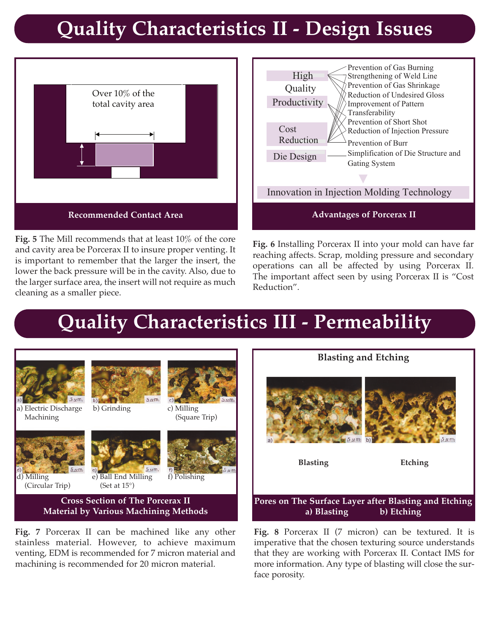### **Quality Characteristics II - Design Issues**



**Fig. 5** The Mill recommends that at least 10% of the core and cavity area be Porcerax II to insure proper venting. It is important to remember that the larger the insert, the lower the back pressure will be in the cavity. Also, due to the larger surface area, the insert will not require as much cleaning as a smaller piece.



**Fig. 6** Installing Porcerax II into your mold can have far reaching affects. Scrap, molding pressure and secondary operations can all be affected by using Porcerax II. The important affect seen by using Porcerax II is "Cost Reduction".

### **Quality Characteristics III - Permeability**



**Fig. 7** Porcerax II can be machined like any other stainless material. However, to achieve maximum venting, EDM is recommended for 7 micron material and machining is recommended for 20 micron material.



**Fig. 8** Porcerax II (7 micron) can be textured. It is imperative that the chosen texturing source understands that they are working with Porcerax II. Contact IMS for more information. Any type of blasting will close the surface porosity.

**a) Blasting b) Etching**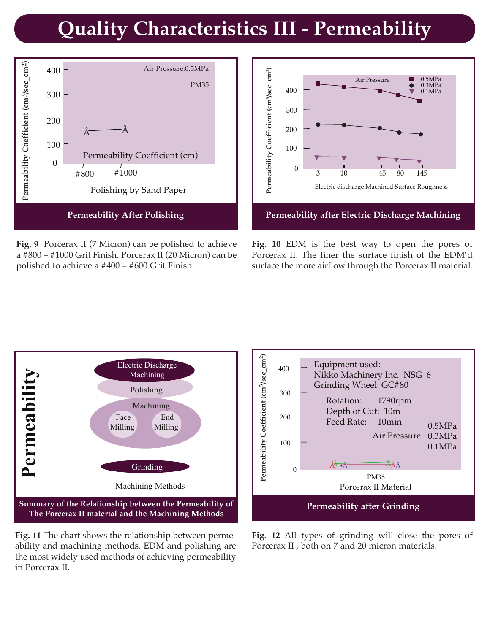### **Quality Characteristics III - Permeability**



**Fig. 9** Porcerax II (7 Micron) can be polished to achieve a #800 – #1000 Grit Finish. Porcerax II (20 Micron) can be polished to achieve a #400 – #600 Grit Finish.



**Fig. 10** EDM is the best way to open the pores of Porcerax II. The finer the surface finish of the EDM'd surface the more airflow through the Porcerax II material.



**Fig. 11** The chart shows the relationship between permeability and machining methods. EDM and polishing are the most widely used methods of achieving permeability in Porcerax II.



**Fig. 12** All types of grinding will close the pores of Porcerax II , both on 7 and 20 micron materials.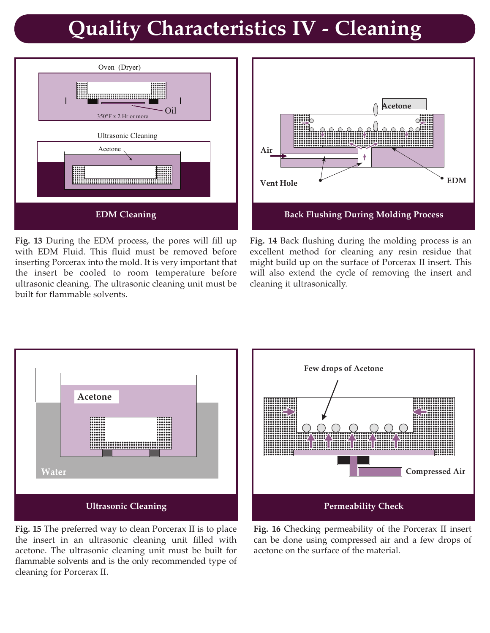### **Quality Characteristics IV - Cleaning**



**Fig. 13** During the EDM process, the pores will fill up with EDM Fluid. This fluid must be removed before inserting Porcerax into the mold. It is very important that the insert be cooled to room temperature before ultrasonic cleaning. The ultrasonic cleaning unit must be built for flammable solvents.



**Fig. 14** Back flushing during the molding process is an excellent method for cleaning any resin residue that might build up on the surface of Porcerax II insert. This will also extend the cycle of removing the insert and cleaning it ultrasonically.



**Fig. 15** The preferred way to clean Porcerax II is to place the insert in an ultrasonic cleaning unit filled with acetone. The ultrasonic cleaning unit must be built for flammable solvents and is the only recommended type of cleaning for Porcerax II.



**Fig. 16** Checking permeability of the Porcerax II insert can be done using compressed air and a few drops of acetone on the surface of the material.